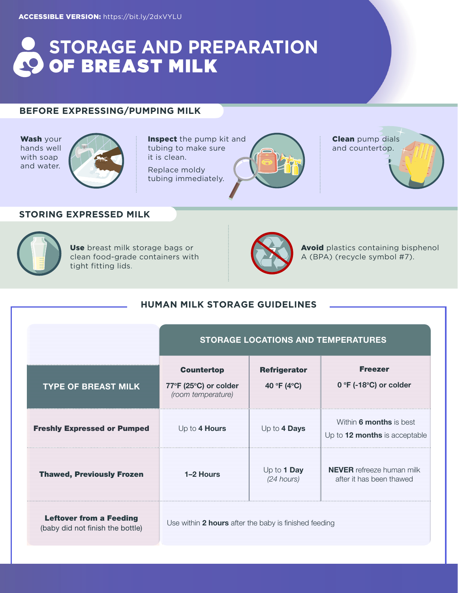# **STORAGE AND PREPARATION OF BREAST MILK**

# **BEFORE EXPRESSING/PUMPING MILK**

Wash your hands well with soap and water.



Inspect the pump kit and tubing to make sure it is clean.

Replace moldy tubing immediately.



**Clean** pump dials and countertop.

# **STORING EXPRESSED MILK**



Use breast milk storage bags or clean food-grade containers with tight fitting lids.



Avoid plastics containing bisphenol<br>A (BPA) (recycle symbol #7).

## **HUMAN MILK STORAGE GUIDELINES**

|                                                                    | <b>STORAGE LOCATIONS AND TEMPERATURES</b>                        |                                    |                                                              |
|--------------------------------------------------------------------|------------------------------------------------------------------|------------------------------------|--------------------------------------------------------------|
| <b>TYPE OF BREAST MILK</b>                                         | <b>Countertop</b><br>77°F (25°C) or colder<br>(room temperature) | <b>Refrigerator</b><br>40 °F (4°C) | <b>Freezer</b><br>$0 °F$ (-18 $°C$ ) or colder               |
| <b>Freshly Expressed or Pumped</b>                                 | Up to 4 Hours                                                    | Up to 4 Days                       | Within 6 months is best<br>Up to 12 months is acceptable     |
| <b>Thawed, Previously Frozen</b>                                   | 1-2 Hours                                                        | Up to 1 Day<br>$(24$ hours)        | <b>NEVER</b> refreeze human milk<br>after it has been thawed |
| <b>Leftover from a Feeding</b><br>(baby did not finish the bottle) | Use within 2 hours after the baby is finished feeding            |                                    |                                                              |